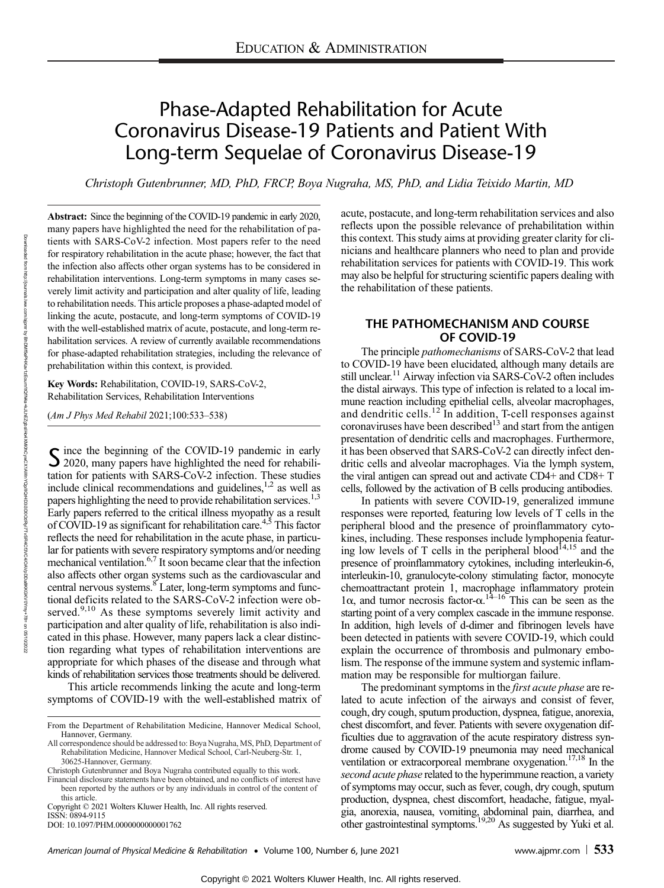# Phase-Adapted Rehabilitation for Acute Coronavirus Disease-19 Patients and Patient With Long-term Sequelae of Coronavirus Disease-19

Christoph Gutenbrunner, MD, PhD, FRCP, Boya Nugraha, MS, PhD, and Lidia Teixido Martin, MD

Abstract: Since the beginning of the COVID-19 pandemic in early 2020, many papers have highlighted the need for the rehabilitation of patients with SARS-CoV-2 infection. Most papers refer to the need for respiratory rehabilitation in the acute phase; however, the fact that the infection also affects other organ systems has to be considered in rehabilitation interventions. Long-term symptoms in many cases severely limit activity and participation and alter quality of life, leading to rehabilitation needs. This article proposes a phase-adapted model of linking the acute, postacute, and long-term symptoms of COVID-19 with the well-established matrix of acute, postacute, and long-term rehabilitation services. A review of currently available recommendations for phase-adapted rehabilitation strategies, including the relevance of prehabilitation within this context, is provided.

Key Words: Rehabilitation, COVID-19, SARS-CoV-2, Rehabilitation Services, Rehabilitation Interventions

(Am J Phys Med Rehabil 2021;100:533–538)

Since the beginning of the COVID-19 pandemic in early 2020, many papers have highlighted the need for rehabilitation for patients with SARS-CoV-2 infection. These studies include clinical recommendations and guidelines, $1,2$  as well as papers highlighting the need to provide rehabilitation services.<sup>1,3</sup> Early papers referred to the critical illness myopathy as a result of COVID-19 as significant for rehabilitation care.4,5 This factor reflects the need for rehabilitation in the acute phase, in particular for patients with severe respiratory symptoms and/or needing mechanical ventilation.6,7 It soon became clear that the infection also affects other organ systems such as the cardiovascular and central nervous systems.<sup>8</sup> Later, long-term symptoms and functional deficits related to the SARS-CoV-2 infection were observed.<sup>9,10</sup> As these symptoms severely limit activity and participation and alter quality of life, rehabilitation is also indicated in this phase. However, many papers lack a clear distinction regarding what types of rehabilitation interventions are appropriate for which phases of the disease and through what kinds of rehabilitation services those treatments should be delivered.

This article recommends linking the acute and long-term symptoms of COVID-19 with the well-established matrix of

Copyright © 2021 Wolters Kluwer Health, Inc. All rights reserved. ISSN: 0894-9115

acute, postacute, and long-term rehabilitation services and also reflects upon the possible relevance of prehabilitation within this context. This study aims at providing greater clarity for clinicians and healthcare planners who need to plan and provide rehabilitation services for patients with COVID-19. This work may also be helpful for structuring scientific papers dealing with the rehabilitation of these patients.

## THE PATHOMECHANISM AND COURSE OF COVID-19

The principle pathomechanisms of SARS-CoV-2 that lead to COVID-19 have been elucidated, although many details are still unclear.<sup>11</sup> Airway infection via SARS-CoV-2 often includes the distal airways. This type of infection is related to a local immune reaction including epithelial cells, alveolar macrophages, and dendritic cells.<sup>12</sup> In addition, T-cell responses against coronaviruses have been described<sup>13</sup> and start from the antigen presentation of dendritic cells and macrophages. Furthermore, it has been observed that SARS-CoV-2 can directly infect dendritic cells and alveolar macrophages. Via the lymph system, the viral antigen can spread out and activate CD4+ and CD8+ T cells, followed by the activation of B cells producing antibodies.

In patients with severe COVID-19, generalized immune responses were reported, featuring low levels of T cells in the peripheral blood and the presence of proinflammatory cytokines, including. These responses include lymphopenia featuring low levels of T cells in the peripheral blood<sup> $14,15$ </sup> and the presence of proinflammatory cytokines, including interleukin-6, interleukin-10, granulocyte-colony stimulating factor, monocyte chemoattractant protein 1, macrophage inflammatory protein  $1α$ , and tumor necrosis factor- $α$ .<sup>14-16</sup> This can be seen as the starting point of a very complex cascade in the immune response. In addition, high levels of d-dimer and fibrinogen levels have been detected in patients with severe COVID-19, which could explain the occurrence of thrombosis and pulmonary embolism. The response of the immune system and systemic inflammation may be responsible for multiorgan failure.

The predominant symptoms in the *first acute phase* are related to acute infection of the airways and consist of fever, cough, dry cough, sputum production, dyspnea, fatigue, anorexia, chest discomfort, and fever. Patients with severe oxygenation difficulties due to aggravation of the acute respiratory distress syndrome caused by COVID-19 pneumonia may need mechanical ventilation or extracorporeal membrane oxygenation.<sup>17,18</sup> In the second acute phase related to the hyperimmune reaction, a variety of symptoms may occur, such as fever, cough, dry cough, sputum production, dyspnea, chest discomfort, headache, fatigue, myalgia, anorexia, nausea, vomiting, abdominal pain, diarrhea, and other gastrointestinal symptoms.<sup>19,20</sup> As suggested by Yuki et al.

05/10/2022

Downloaded

alam non nup://purnals

From the Department of Rehabilitation Medicine, Hannover Medical School, Hannover, Germany.

All correspondence should be addressed to: Boya Nugraha, MS, PhD, Department of Rehabilitation Medicine, Hannover Medical School, Carl-Neuberg-Str. 1, 30625-Hannover, Germany.

Christoph Gutenbrunner and Boya Nugraha contributed equally to this work.

Financial disclosure statements have been obtained, and no conflicts of interest have been reported by the authors or by any individuals in control of the content of this article.

DOI: 10.1097/PHM.0000000000001762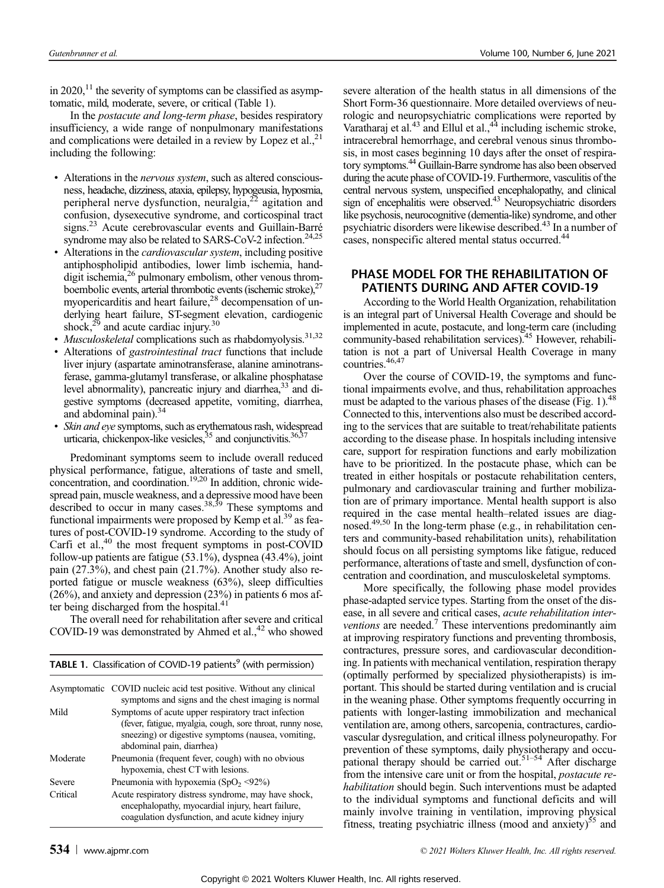in 2020, $^{11}$  the severity of symptoms can be classified as asymptomatic, mild, moderate, severe, or critical (Table 1).

In the postacute and long-term phase, besides respiratory insufficiency, a wide range of nonpulmonary manifestations and complications were detailed in a review by Lopez et al., $^{21}$ including the following:

- Alterations in the *nervous system*, such as altered consciousness, headache, dizziness, ataxia, epilepsy, hypogeusia, hyposmia, peripheral nerve dysfunction, neuralgia, $2<sup>22</sup>$  agitation and confusion, dysexecutive syndrome, and corticospinal tract signs.<sup>23</sup> Acute cerebrovascular events and Guillain-Barré syndrome may also be related to SARS-CoV-2 infection.<sup>24,25</sup>
- Alterations in the *cardiovascular system*, including positive antiphospholipid antibodies, lower limb ischemia, handdigit ischemia,<sup>26</sup> pulmonary embolism, other venous thromboembolic events, arterial thrombotic events (ischemic stroke), $27$ myopericarditis and heart failure,<sup>28</sup> decompensation of underlying heart failure, ST-segment elevation, cardiogenic shock, $^{29}$  and acute cardiac injury.<sup>30</sup>
- *Musculoskeletal* complications such as rhabdomyolysis.<sup>31,32</sup>
- Alterations of *gastrointestinal tract* functions that include liver injury (aspartate aminotransferase, alanine aminotransferase, gamma-glutamyl transferase, or alkaline phosphatase level abnormality), pancreatic injury and diarrhea,<sup>33</sup> and digestive symptoms (decreased appetite, vomiting, diarrhea, and abdominal pain). $34$
- Skin and eye symptoms, such as erythematous rash, widespread urticaria, chickenpox-like vesicles,<sup>35</sup> and conjunctivitis.<sup>36,37</sup>

Predominant symptoms seem to include overall reduced physical performance, fatigue, alterations of taste and smell, concentration, and coordination.<sup>19,20</sup> In addition, chronic widespread pain, muscle weakness, and a depressive mood have been described to occur in many cases.<sup>38,39</sup> These symptoms and functional impairments were proposed by Kemp et al. $39$  as features of post-COVID-19 syndrome. According to the study of Carfi et al.,<sup>40</sup> the most frequent symptoms in post-COVID follow-up patients are fatigue (53.1%), dyspnea (43.4%), joint pain (27.3%), and chest pain (21.7%). Another study also reported fatigue or muscle weakness (63%), sleep difficulties (26%), and anxiety and depression (23%) in patients 6 mos after being discharged from the hospital.<sup>41</sup>

The overall need for rehabilitation after severe and critical COVID-19 was demonstrated by Ahmed et al., $42$  who showed

**TABLE 1.** Classification of COVID-19 patients<sup>9</sup> (with permission)

| $-$ Shoothead off of SO $\cdots$ $\cdots$ for patients (find point modes), |                                                                                                                                                                                                     |  |  |
|----------------------------------------------------------------------------|-----------------------------------------------------------------------------------------------------------------------------------------------------------------------------------------------------|--|--|
|                                                                            | Asymptomatic COVID nucleic acid test positive. Without any clinical<br>symptoms and signs and the chest imaging is normal                                                                           |  |  |
| Mild                                                                       | Symptoms of acute upper respiratory tract infection<br>(fever, fatigue, myalgia, cough, sore throat, runny nose,<br>sneezing) or digestive symptoms (nausea, vomiting,<br>abdominal pain, diarrhea) |  |  |
| Moderate                                                                   | Pneumonia (frequent fever, cough) with no obvious<br>hypoxemia, chest CT with lesions.                                                                                                              |  |  |
| Severe                                                                     | Pneumonia with hypoxemia $(SpO_2 \leq 92\%)$                                                                                                                                                        |  |  |
| Critical                                                                   | Acute respiratory distress syndrome, may have shock,<br>encephalopathy, myocardial injury, heart failure,<br>coagulation dysfunction, and acute kidney injury                                       |  |  |

severe alteration of the health status in all dimensions of the Short Form-36 questionnaire. More detailed overviews of neurologic and neuropsychiatric complications were reported by Varatharaj et al. $^{43}$  and Ellul et al. $^{44}$  including ischemic stroke, intracerebral hemorrhage, and cerebral venous sinus thrombosis, in most cases beginning 10 days after the onset of respiratory symptoms.44 Guillain-Barre syndrome has also been observed during the acute phase of COVID-19. Furthermore, vasculitis of the central nervous system, unspecified encephalopathy, and clinical sign of encephalitis were observed.<sup>43</sup> Neuropsychiatric disorders like psychosis, neurocognitive (dementia-like) syndrome, and other psychiatric disorders were likewise described.<sup>43</sup> In a number of cases, nonspecific altered mental status occurred.<sup>44</sup>

## PHASE MODEL FOR THE REHABILITATION OF PATIENTS DURING AND AFTER COVID-19

According to the World Health Organization, rehabilitation is an integral part of Universal Health Coverage and should be implemented in acute, postacute, and long-term care (including community-based rehabilitation services).<sup>45</sup> However, rehabilitation is not a part of Universal Health Coverage in many countries.<sup>46,47</sup>

Over the course of COVID-19, the symptoms and functional impairments evolve, and thus, rehabilitation approaches must be adapted to the various phases of the disease (Fig. 1).<sup>48</sup> Connected to this, interventions also must be described according to the services that are suitable to treat/rehabilitate patients according to the disease phase. In hospitals including intensive care, support for respiration functions and early mobilization have to be prioritized. In the postacute phase, which can be treated in either hospitals or postacute rehabilitation centers, pulmonary and cardiovascular training and further mobilization are of primary importance. Mental health support is also required in the case mental health–related issues are diagnosed.<sup>49,50</sup> In the long-term phase (e.g., in rehabilitation centers and community-based rehabilitation units), rehabilitation should focus on all persisting symptoms like fatigue, reduced performance, alterations of taste and smell, dysfunction of concentration and coordination, and musculoskeletal symptoms.

More specifically, the following phase model provides phase-adapted service types. Starting from the onset of the disease, in all severe and critical cases, acute rehabilitation interventions are needed.<sup>7</sup> These interventions predominantly aim at improving respiratory functions and preventing thrombosis, contractures, pressure sores, and cardiovascular deconditioning. In patients with mechanical ventilation, respiration therapy (optimally performed by specialized physiotherapists) is important. This should be started during ventilation and is crucial in the weaning phase. Other symptoms frequently occurring in patients with longer-lasting immobilization and mechanical ventilation are, among others, sarcopenia, contractures, cardiovascular dysregulation, and critical illness polyneuropathy. For prevention of these symptoms, daily physiotherapy and occupational therapy should be carried out.<sup>51-54</sup> After discharge from the intensive care unit or from the hospital, postacute rehabilitation should begin. Such interventions must be adapted to the individual symptoms and functional deficits and will mainly involve training in ventilation, improving physical fitness, treating psychiatric illness (mood and anxiety)<sup>55</sup> and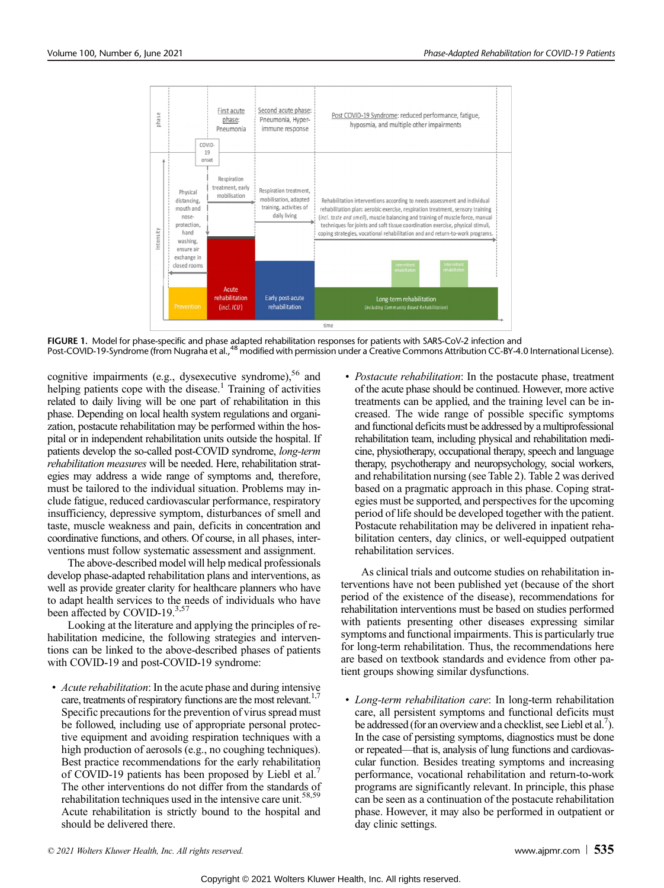

FIGURE 1. Model for phase-specific and phase adapted rehabilitation responses for patients with SARS-CoV-2 infection and Post-COVID-19-Syndrome (from Nugraha et al.,<sup>48</sup> modified with permission under a Creative Commons Attribution CC-BY-4.0 International License).

cognitive impairments (e.g., dysexecutive syndrome), $56$  and helping patients cope with the disease.<sup>1</sup> Training of activities related to daily living will be one part of rehabilitation in this phase. Depending on local health system regulations and organization, postacute rehabilitation may be performed within the hospital or in independent rehabilitation units outside the hospital. If patients develop the so-called post-COVID syndrome, long-term rehabilitation measures will be needed. Here, rehabilitation strategies may address a wide range of symptoms and, therefore, must be tailored to the individual situation. Problems may include fatigue, reduced cardiovascular performance, respiratory insufficiency, depressive symptom, disturbances of smell and taste, muscle weakness and pain, deficits in concentration and coordinative functions, and others. Of course, in all phases, interventions must follow systematic assessment and assignment.

The above-described model will help medical professionals develop phase-adapted rehabilitation plans and interventions, as well as provide greater clarity for healthcare planners who have to adapt health services to the needs of individuals who have been affected by COVID-19.<sup>3,57</sup>

Looking at the literature and applying the principles of rehabilitation medicine, the following strategies and interventions can be linked to the above-described phases of patients with COVID-19 and post-COVID-19 syndrome:

• Acute rehabilitation: In the acute phase and during intensive care, treatments of respiratory functions are the most relevant.<sup>1,7</sup> Specific precautions for the prevention of virus spread must be followed, including use of appropriate personal protective equipment and avoiding respiration techniques with a high production of aerosols (e.g., no coughing techniques). Best practice recommendations for the early rehabilitation of COVID-19 patients has been proposed by Liebl et al.<sup>7</sup> The other interventions do not differ from the standards of rehabilitation techniques used in the intensive care unit.<sup>58,59</sup> Acute rehabilitation is strictly bound to the hospital and should be delivered there.

• Postacute rehabilitation: In the postacute phase, treatment of the acute phase should be continued. However, more active treatments can be applied, and the training level can be increased. The wide range of possible specific symptoms and functional deficits must be addressed by a multiprofessional rehabilitation team, including physical and rehabilitation medicine, physiotherapy, occupational therapy, speech and language therapy, psychotherapy and neuropsychology, social workers, and rehabilitation nursing (see Table 2). Table 2 was derived based on a pragmatic approach in this phase. Coping strategies must be supported, and perspectives for the upcoming period of life should be developed together with the patient. Postacute rehabilitation may be delivered in inpatient rehabilitation centers, day clinics, or well-equipped outpatient rehabilitation services.

As clinical trials and outcome studies on rehabilitation interventions have not been published yet (because of the short period of the existence of the disease), recommendations for rehabilitation interventions must be based on studies performed with patients presenting other diseases expressing similar symptoms and functional impairments. This is particularly true for long-term rehabilitation. Thus, the recommendations here are based on textbook standards and evidence from other patient groups showing similar dysfunctions.

• Long-term rehabilitation care: In long-term rehabilitation care, all persistent symptoms and functional deficits must be addressed (for an overview and a checklist, see Liebl et al.<sup>7</sup>). In the case of persisting symptoms, diagnostics must be done or repeated—that is, analysis of lung functions and cardiovascular function. Besides treating symptoms and increasing performance, vocational rehabilitation and return-to-work programs are significantly relevant. In principle, this phase can be seen as a continuation of the postacute rehabilitation phase. However, it may also be performed in outpatient or day clinic settings.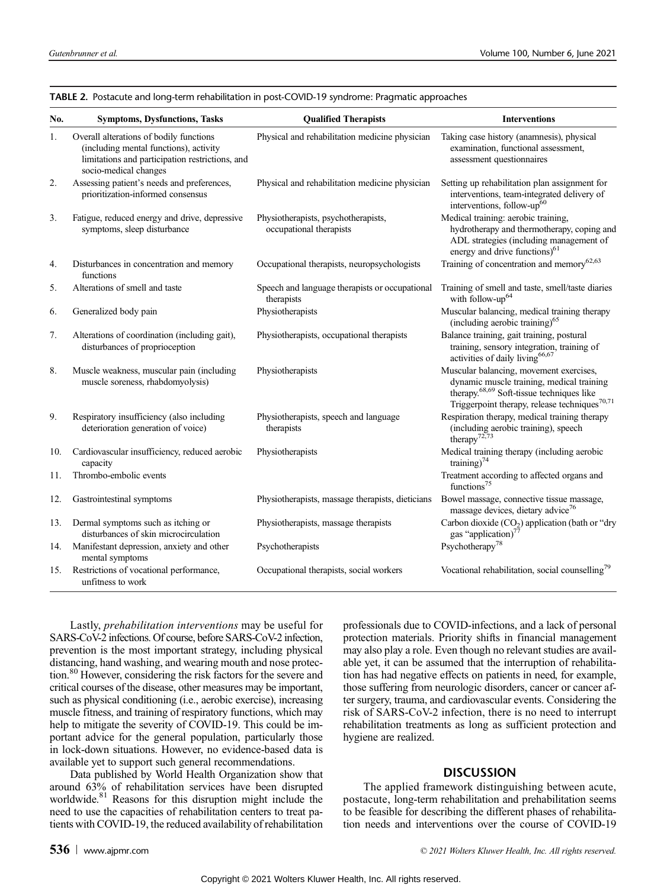| No. | <b>Symptoms, Dysfunctions, Tasks</b>                                                                                                                          | <b>Oualified Therapists</b>                                    | <b>Interventions</b>                                                                                                                                                                                       |  |  |
|-----|---------------------------------------------------------------------------------------------------------------------------------------------------------------|----------------------------------------------------------------|------------------------------------------------------------------------------------------------------------------------------------------------------------------------------------------------------------|--|--|
| 1.  | Overall alterations of bodily functions<br>(including mental functions), activity<br>limitations and participation restrictions, and<br>socio-medical changes | Physical and rehabilitation medicine physician                 | Taking case history (anamnesis), physical<br>examination, functional assessment,<br>assessment questionnaires                                                                                              |  |  |
| 2.  | Assessing patient's needs and preferences,<br>prioritization-informed consensus                                                                               | Physical and rehabilitation medicine physician                 | Setting up rehabilitation plan assignment for<br>interventions, team-integrated delivery of<br>interventions, follow-up <sup>60</sup>                                                                      |  |  |
| 3.  | Fatigue, reduced energy and drive, depressive<br>symptoms, sleep disturbance                                                                                  | Physiotherapists, psychotherapists,<br>occupational therapists | Medical training: aerobic training,<br>hydrotherapy and thermotherapy, coping and<br>ADL strategies (including management of<br>energy and drive functions) <sup>61</sup>                                  |  |  |
| 4.  | Disturbances in concentration and memory<br>functions                                                                                                         | Occupational therapists, neuropsychologists                    | Training of concentration and memory <sup>62,63</sup>                                                                                                                                                      |  |  |
| 5.  | Alterations of smell and taste                                                                                                                                | Speech and language therapists or occupational<br>therapists   | Training of smell and taste, smell/taste diaries<br>with follow-up <sup>64</sup>                                                                                                                           |  |  |
| 6.  | Generalized body pain                                                                                                                                         | Physiotherapists                                               | Muscular balancing, medical training therapy<br>(including aerobic training) <sup>65</sup>                                                                                                                 |  |  |
| 7.  | Alterations of coordination (including gait),<br>disturbances of proprioception                                                                               | Physiotherapists, occupational therapists                      | Balance training, gait training, postural<br>training, sensory integration, training of<br>activities of daily living <sup>66,67</sup>                                                                     |  |  |
| 8.  | Muscle weakness, muscular pain (including<br>muscle soreness, rhabdomyolysis)                                                                                 | Physiotherapists                                               | Muscular balancing, movement exercises,<br>dynamic muscle training, medical training<br>therapy. <sup>68,69</sup> Soft-tissue techniques like<br>Triggerpoint therapy, release techniques <sup>70,71</sup> |  |  |
| 9.  | Respiratory insufficiency (also including<br>deterioration generation of voice)                                                                               | Physiotherapists, speech and language<br>therapists            | Respiration therapy, medical training therapy<br>(including aerobic training), speech<br>therapy <sup>72,73</sup>                                                                                          |  |  |
| 10. | Cardiovascular insufficiency, reduced aerobic<br>capacity                                                                                                     | Physiotherapists                                               | Medical training therapy (including aerobic<br>training) <sup>74</sup>                                                                                                                                     |  |  |
| 11. | Thrombo-embolic events                                                                                                                                        |                                                                | Treatment according to affected organs and<br>functions <sup>75</sup>                                                                                                                                      |  |  |
| 12. | Gastrointestinal symptoms                                                                                                                                     | Physiotherapists, massage therapists, dieticians               | Bowel massage, connective tissue massage,<br>massage devices, dietary advice <sup>76</sup>                                                                                                                 |  |  |
| 13. | Dermal symptoms such as itching or<br>disturbances of skin microcirculation                                                                                   | Physiotherapists, massage therapists                           | Carbon dioxide (CO <sub>2</sub> ) application (bath or "dry<br>gas "application) <sup>77</sup>                                                                                                             |  |  |
| 14. | Manifestant depression, anxiety and other<br>mental symptoms                                                                                                  | Psychotherapists                                               | Psychotherapy <sup>78</sup>                                                                                                                                                                                |  |  |
| 15. | Restrictions of vocational performance,<br>unfitness to work                                                                                                  | Occupational therapists, social workers                        | Vocational rehabilitation, social counselling <sup>79</sup>                                                                                                                                                |  |  |

TABLE 2. Postacute and long-term rehabilitation in post-COVID-19 syndrome: Pragmatic approaches

Lastly, prehabilitation interventions may be useful for SARS-CoV-2 infections. Of course, before SARS-CoV-2 infection, prevention is the most important strategy, including physical distancing, hand washing, and wearing mouth and nose protection.<sup>80</sup> However, considering the risk factors for the severe and critical courses of the disease, other measures may be important, such as physical conditioning (i.e., aerobic exercise), increasing muscle fitness, and training of respiratory functions, which may help to mitigate the severity of COVID-19. This could be important advice for the general population, particularly those in lock-down situations. However, no evidence-based data is available yet to support such general recommendations.

Data published by World Health Organization show that around 63% of rehabilitation services have been disrupted worldwide.<sup>81</sup> Reasons for this disruption might include the need to use the capacities of rehabilitation centers to treat patients with COVID-19, the reduced availability of rehabilitation

professionals due to COVID-infections, and a lack of personal protection materials. Priority shifts in financial management may also play a role. Even though no relevant studies are available yet, it can be assumed that the interruption of rehabilitation has had negative effects on patients in need, for example, those suffering from neurologic disorders, cancer or cancer after surgery, trauma, and cardiovascular events. Considering the risk of SARS-CoV-2 infection, there is no need to interrupt rehabilitation treatments as long as sufficient protection and hygiene are realized.

### DISCUSSION

The applied framework distinguishing between acute, postacute, long-term rehabilitation and prehabilitation seems to be feasible for describing the different phases of rehabilitation needs and interventions over the course of COVID-19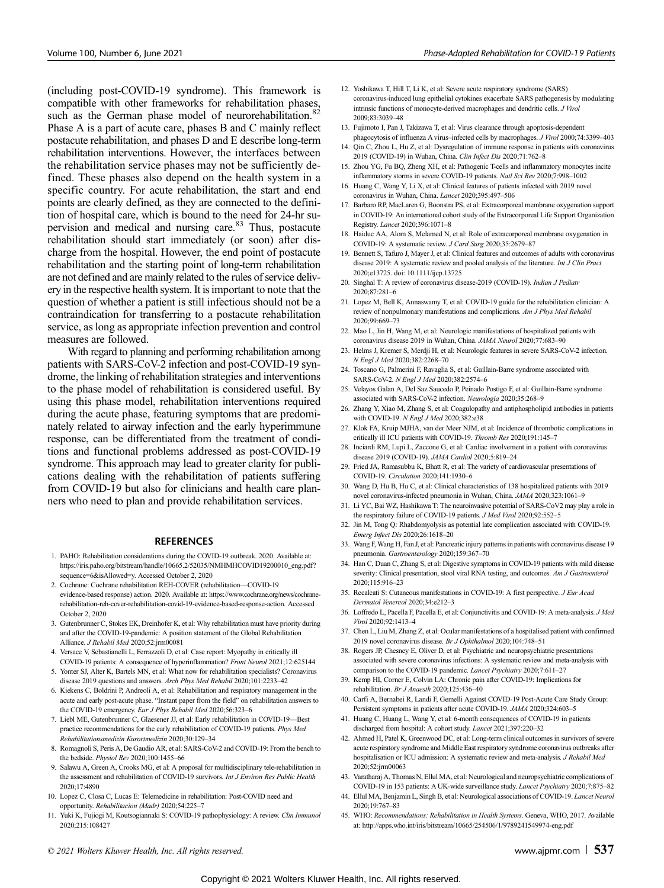(including post-COVID-19 syndrome). This framework is compatible with other frameworks for rehabilitation phases, such as the German phase model of neurorehabilitation.<sup>82</sup> Phase A is a part of acute care, phases B and C mainly reflect postacute rehabilitation, and phases D and E describe long-term rehabilitation interventions. However, the interfaces between the rehabilitation service phases may not be sufficiently defined. These phases also depend on the health system in a specific country. For acute rehabilitation, the start and end points are clearly defined, as they are connected to the definition of hospital care, which is bound to the need for 24-hr supervision and medical and nursing care.<sup>83</sup> Thus, postacute rehabilitation should start immediately (or soon) after discharge from the hospital. However, the end point of postacute rehabilitation and the starting point of long-term rehabilitation are not defined and are mainly related to the rules of service delivery in the respective health system. It is important to note that the question of whether a patient is still infectious should not be a contraindication for transferring to a postacute rehabilitation service, as long as appropriate infection prevention and control measures are followed.

With regard to planning and performing rehabilitation among patients with SARS-CoV-2 infection and post-COVID-19 syndrome, the linking of rehabilitation strategies and interventions to the phase model of rehabilitation is considered useful. By using this phase model, rehabilitation interventions required during the acute phase, featuring symptoms that are predominately related to airway infection and the early hyperimmune response, can be differentiated from the treatment of conditions and functional problems addressed as post-COVID-19 syndrome. This approach may lead to greater clarity for publications dealing with the rehabilitation of patients suffering from COVID-19 but also for clinicians and health care planners who need to plan and provide rehabilitation services.

#### **REFERENCES**

- 1. PAHO: Rehabilitation considerations during the COVID-19 outbreak. 2020. Available at: [https://iris.paho.org/bitstream/handle/10665.2/52035/NMHMHCOVID19200010\\_eng.pdf?](https://iris.paho.org/bitstream/handle/10665.2/52035/NMHMHCOVID19200010_eng.pdf?sequence=6&isAllowed=y) [sequence=6&isAllowed=y.](https://iris.paho.org/bitstream/handle/10665.2/52035/NMHMHCOVID19200010_eng.pdf?sequence=6&isAllowed=y) Accessed October 2, 2020
- 2. Cochrane: Cochrane rehabilitation REH-COVER (rehabilitation—COVID-19 evidence-based response) action. 2020. Available at: [https://www.cochrane.org/news/cochrane](https://www.cochrane.org/news/cochrane-rehabilitation-reh-cover-rehabilitation-covid-19-evidence-based-response-action)[rehabilitation-reh-cover-rehabilitation-covid-19-evidence-based-response-action](https://www.cochrane.org/news/cochrane-rehabilitation-reh-cover-rehabilitation-covid-19-evidence-based-response-action). Accessed October 2, 2020
- 3. Gutenbrunner C, Stokes EK, Dreinhofer K, et al: Why rehabilitation must have priority during and after the COVID-19-pandemic: A position statement of the Global Rehabilitation Alliance. J Rehabil Med 2020;52:jrm00081
- 4. Versace V, Sebastianelli L, Ferrazzoli D, et al: Case report: Myopathy in critically ill COVID-19 patients: A consequence of hyperinflammation? Front Neurol 2021;12:625144
- 5. Yonter SJ, Alter K, Bartels MN, et al: What now for rehabilitation specialists? Coronavirus disease 2019 questions and answers. Arch Phys Med Rehabil 2020;101:2233–42
- 6. Kiekens C, Boldrini P, Andreoli A, et al: Rehabilitation and respiratory management in the acute and early post-acute phase. "Instant paper from the field" on rehabilitation answers to the COVID-19 emergency. Eur J Phys Rehabil Med 2020;56:323–6
- 7. Liebl ME, Gutenbrunner C, Glaesener JJ, et al: Early rehabilitation in COVID-19—Best practice recommendations for the early rehabilitation of COVID-19 patients. Phys Med Rehabilitationsmedizin Kurortmedizin 2020;30:129–34
- 8. Romagnoli S, Peris A, De Gaudio AR, et al: SARS-CoV-2 and COVID-19: From the bench to the bedside. Physiol Rev 2020;100:1455–66
- 9. Salawu A, Green A, Crooks MG, et al: A proposal for multidisciplinary tele-rehabilitation in the assessment and rehabilitation of COVID-19 survivors. Int J Environ Res Public Health 2020;17:4890
- 10. Lopez C, Closa C, Lucas E: Telemedicine in rehabilitation: Post-COVID need and opportunity. Rehabilitacion (Madr) 2020;54:225–7
- 11. Yuki K, Fujiogi M, Koutsogiannaki S: COVID-19 pathophysiology: A review. Clin Immunol 2020;215:108427
- 12. Yoshikawa T, Hill T, Li K, et al: Severe acute respiratory syndrome (SARS) coronavirus-induced lung epithelial cytokines exacerbate SARS pathogenesis by modulating intrinsic functions of monocyte-derived macrophages and dendritic cells. J Virol 2009;83:3039–48
- 13. Fujimoto I, Pan J, Takizawa T, et al: Virus clearance through apoptosis-dependent phagocytosis of influenza A virus–infected cells by macrophages. J Virol 2000;74:3399–403
- 14. Qin C, Zhou L, Hu Z, et al: Dysregulation of immune response in patients with coronavirus 2019 (COVID-19) in Wuhan, China. Clin Infect Dis 2020;71:762–8
- 15. Zhou YG, Fu BQ, Zheng XH, et al: Pathogenic T-cells and inflammatory monocytes incite inflammatory storms in severe COVID-19 patients. Natl Sci Rev 2020;7:998–1002
- 16. Huang C, Wang Y, Li X, et al: Clinical features of patients infected with 2019 novel coronavirus in Wuhan, China. Lancet 2020;395:497–506
- 17. Barbaro RP, MacLaren G, Boonstra PS, et al: Extracorporeal membrane oxygenation support in COVID-19: An international cohort study of the Extracorporeal Life Support Organization Registry. Lancet 2020;396:1071–8
- 18. Haiduc AA, Alom S, Melamed N, et al: Role of extracorporeal membrane oxygenation in COVID-19: A systematic review. J Card Surg 2020;35:2679–87
- 19. Bennett S, Tafuro J, Mayer J, et al: Clinical features and outcomes of adults with coronavirus disease 2019: A systematic review and pooled analysis of the literature. Int J Clin Pract 2020;e13725. doi: 10.1111/ijcp.13725
- 20. Singhal T: A review of coronavirus disease-2019 (COVID-19). Indian J Pediatr 2020;87:281–6
- 21. Lopez M, Bell K, Annaswamy T, et al: COVID-19 guide for the rehabilitation clinician: A review of nonpulmonary manifestations and complications. Am J Phys Med Rehabil 2020;99:669–73
- 22. Mao L, Jin H, Wang M, et al: Neurologic manifestations of hospitalized patients with coronavirus disease 2019 in Wuhan, China. JAMA Neurol 2020;77:683–90
- 23. Helms J, Kremer S, Merdji H, et al: Neurologic features in severe SARS-CoV-2 infection. N Engl J Med 2020;382:2268–70
- 24. Toscano G, Palmerini F, Ravaglia S, et al: Guillain-Barre syndrome associated with SARS-CoV-2. N Engl J Med 2020;382:2574–6
- 25. Velayos Galan A, Del Saz Saucedo P, Peinado Postigo F, et al: Guillain-Barre syndrome associated with SARS-CoV-2 infection. Neurologia 2020;35:268–9
- 26. Zhang Y, Xiao M, Zhang S, et al: Coagulopathy and antiphospholipid antibodies in patients with COVID-19. N Engl J Med 2020;382:e38
- 27. Klok FA, Kruip MJHA, van der Meer NJM, et al: Incidence of thrombotic complications in critically ill ICU patients with COVID-19. Thromb Res 2020;191:145–7
- 28. Inciardi RM, Lupi L, Zaccone G, et al: Cardiac involvement in a patient with coronavirus disease 2019 (COVID-19). JAMA Cardiol 2020;5:819–24
- 29. Fried JA, Ramasubbu K, Bhatt R, et al: The variety of cardiovascular presentations of COVID-19. Circulation 2020;141:1930–6
- 30. Wang D, Hu B, Hu C, et al: Clinical characteristics of 138 hospitalized patients with 2019 novel coronavirus-infected pneumonia in Wuhan, China. JAMA 2020;323:1061–9
- 31. Li YC, Bai WZ, Hashikawa T: The neuroinvasive potential of SARS-CoV2 may play a role in the respiratory failure of COVID-19 patients. J Med Virol 2020;92:552-5
- 32. Jin M, Tong Q: Rhabdomyolysis as potential late complication associated with COVID-19. Emerg Infect Dis 2020;26:1618–20
- 33. Wang F, Wang H, Fan J, et al: Pancreatic injury patterns in patients with coronavirus disease 19 pneumonia. Gastroenterology 2020;159:367–70
- 34. Han C, Duan C, Zhang S, et al: Digestive symptoms in COVID-19 patients with mild disease severity: Clinical presentation, stool viral RNA testing, and outcomes. Am J Gastroenterol 2020;115:916–23
- 35. Recalcati S: Cutaneous manifestations in COVID-19: A first perspective. J Eur Acad Dermatol Venereol 2020;34:e212–3
- 36. Loffredo L, Pacella F, Pacella E, et al: Conjunctivitis and COVID-19: A meta-analysis. J Med Virol 2020;92:1413–4
- 37. Chen L, Liu M, Zhang Z, et al: Ocular manifestations of a hospitalised patient with confirmed 2019 novel coronavirus disease. Br J Ophthalmol 2020;104:748–51
- 38. Rogers JP, Chesney E, Oliver D, et al: Psychiatric and neuropsychiatric presentations associated with severe coronavirus infections: A systematic review and meta-analysis with comparison to the COVID-19 pandemic. Lancet Psychiatry 2020;7:611–27
- 39. Kemp HI, Corner E, Colvin LA: Chronic pain after COVID-19: Implications for rehabilitation. Br J Anaesth 2020;125:436–40
- 40. Carfi A, Bernabei R, Landi F, Gemelli Against COVID-19 Post-Acute Care Study Group: Persistent symptoms in patients after acute COVID-19. JAMA 2020;324:603–5
- 41. Huang C, Huang L, Wang Y, et al: 6-month consequences of COVID-19 in patients discharged from hospital: A cohort study. Lancet 2021;397:220–32
- 42. Ahmed H, Patel K, Greenwood DC, et al: Long-term clinical outcomes in survivors of severe acute respiratory syndrome and Middle East respiratory syndrome coronavirus outbreaks after hospitalisation or ICU admission: A systematic review and meta-analysis. J Rehabil Med 2020;52:jrm00063
- 43. Varatharaj A, Thomas N, Ellul MA, et al: Neurological and neuropsychiatric complications of COVID-19 in 153 patients: A UK-wide surveillance study. Lancet Psychiatry 2020;7:875–82
- 44. Ellul MA, Benjamin L, Singh B, et al: Neurological associations of COVID-19. Lancet Neurol 2020;19:767–83
- 45. WHO: Recommendations: Rehabilitation in Health Systems. Geneva, WHO, 2017. Available at:<http://apps.who.int/iris/bitstream/10665/254506/1/9789241549974-eng.pdf>

© 2021 Wolters Kluwer Health, Inc. All rights reserved. www.ajpmr.com  $\pm$  537